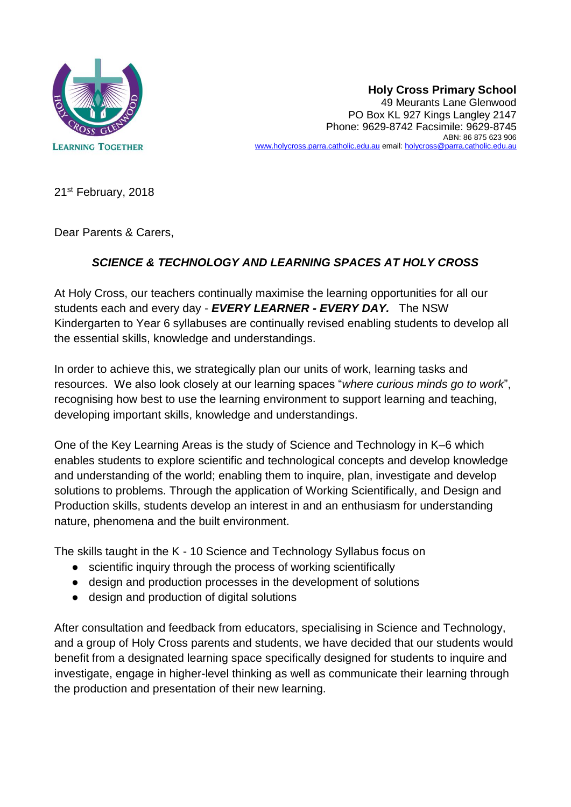

**Holy Cross Primary School** 49 Meurants Lane Glenwood PO Box KL 927 Kings Langley 2147 Phone: 9629-8742 Facsimile: 9629-8745 ABN: 86 875 623 906 [www.holycross.parra.catholic.edu.au](http://www.holycross.parra.catholic.edu.au/) email[: holycross@parra.catholic.edu.au](mailto:holycross@parra.catholic.edu.au)

21st February, 2018

Dear Parents & Carers,

# *SCIENCE & TECHNOLOGY AND LEARNING SPACES AT HOLY CROSS*

At Holy Cross, our teachers continually maximise the learning opportunities for all our students each and every day - *EVERY LEARNER - EVERY DAY.* The NSW Kindergarten to Year 6 syllabuses are continually revised enabling students to develop all the essential skills, knowledge and understandings.

In order to achieve this, we strategically plan our units of work, learning tasks and resources. We also look closely at our learning spaces "*where curious minds go to work*", recognising how best to use the learning environment to support learning and teaching, developing important skills, knowledge and understandings.

One of the Key Learning Areas is the study of Science and Technology in K–6 which enables students to explore scientific and technological concepts and develop knowledge and understanding of the world; enabling them to inquire, plan, investigate and develop solutions to problems. Through the application of Working Scientifically, and Design and Production skills, students develop an interest in and an enthusiasm for understanding nature, phenomena and the built environment.

The skills taught in the K - 10 Science and Technology Syllabus focus on

- scientific inquiry through the process of working scientifically
- design and production processes in the development of solutions
- design and production of digital solutions

After consultation and feedback from educators, specialising in Science and Technology, and a group of Holy Cross parents and students, we have decided that our students would benefit from a designated learning space specifically designed for students to inquire and investigate, engage in higher-level thinking as well as communicate their learning through the production and presentation of their new learning.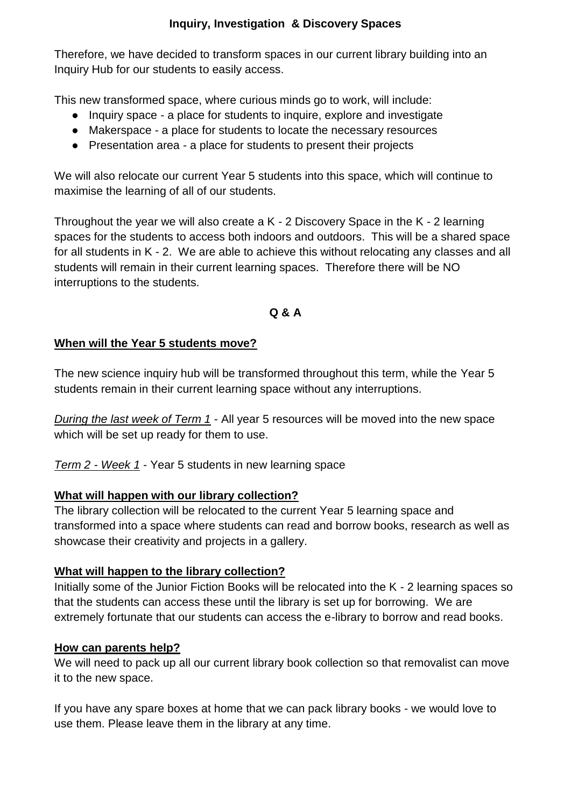## **Inquiry, Investigation & Discovery Spaces**

Therefore, we have decided to transform spaces in our current library building into an Inquiry Hub for our students to easily access.

This new transformed space, where curious minds go to work, will include:

- Inquiry space a place for students to inquire, explore and investigate
- Makerspace a place for students to locate the necessary resources
- Presentation area a place for students to present their projects

We will also relocate our current Year 5 students into this space, which will continue to maximise the learning of all of our students.

Throughout the year we will also create a K - 2 Discovery Space in the K - 2 learning spaces for the students to access both indoors and outdoors. This will be a shared space for all students in K - 2. We are able to achieve this without relocating any classes and all students will remain in their current learning spaces. Therefore there will be NO interruptions to the students.

## **Q & A**

#### **When will the Year 5 students move?**

The new science inquiry hub will be transformed throughout this term, while the Year 5 students remain in their current learning space without any interruptions.

*During the last week of Term 1* - All year 5 resources will be moved into the new space which will be set up ready for them to use.

*Term 2 - Week 1* - Year 5 students in new learning space

#### **What will happen with our library collection?**

The library collection will be relocated to the current Year 5 learning space and transformed into a space where students can read and borrow books, research as well as showcase their creativity and projects in a gallery.

#### **What will happen to the library collection?**

Initially some of the Junior Fiction Books will be relocated into the K - 2 learning spaces so that the students can access these until the library is set up for borrowing. We are extremely fortunate that our students can access the e-library to borrow and read books.

#### **How can parents help?**

We will need to pack up all our current library book collection so that removalist can move it to the new space.

If you have any spare boxes at home that we can pack library books - we would love to use them. Please leave them in the library at any time.